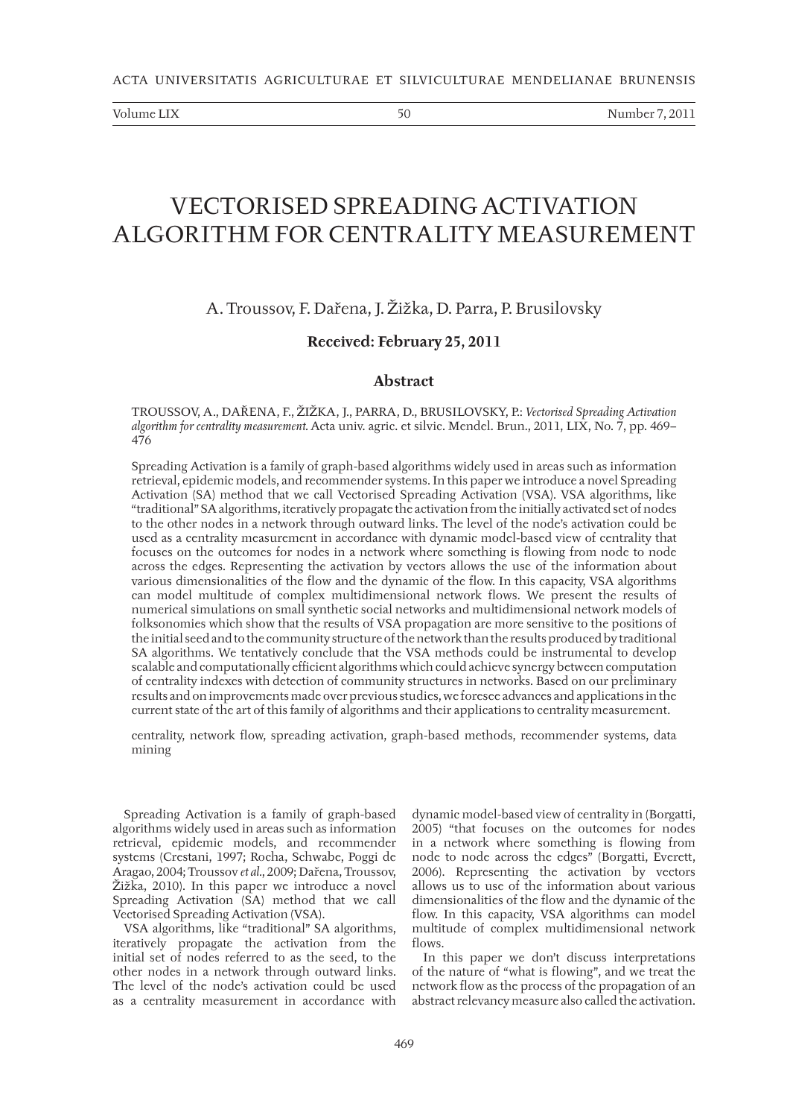Volume LIX 60 Number 7, 2011

# VECTORISED SPREADING ACTIVATION ALGORITHM FOR CENTRALITY MEASUREMENT

# A. Troussov, F. Dařena, J. Žižka, D. Parra, P. Brusilovsky

## **Received: February 25, 2011**

## **Abstract**

TROUSSOV, A., DAŘENA, F., ŽIŽKA, J., PARRA, D., BRUSILOVSKY, P.: *Vectorised Spreading Activation algorithm for centrality measurement.* Acta univ. agric. et silvic. Mendel. Brun., 2011, LIX, No. 7, pp. 469– 476

Spreading Activation is a family of graph-based algorithms widely used in areas such as information retrieval, epidemic models, and recommender systems. In this paper we introduce a novel Spreading Activation (SA) method that we call Vectorised Spreading Activation (VSA). VSA algorithms, like "traditional" SA algorithms, iteratively propagate the activation from the initially activated set of nodes to the other nodes in a network through outward links. The level of the node's activation could be used as a centrality measurement in accordance with dynamic model-based view of centrality that focuses on the outcomes for nodes in a network where something is flowing from node to node across the edges. Representing the activation by vectors allows the use of the information about various dimensionalities of the flow and the dynamic of the flow. In this capacity, VSA algorithms can model multitude of complex multidimensional network flows. We present the results of numerical simulations on small synthetic social networks and multidimensional network models of folksonomies which show that the results of VSA propagation are more sensitive to the positions of the initial seed and to the community structure of the network than the results produced by traditional SA algorithms. We tentatively conclude that the VSA methods could be instrumental to develop scalable and computationally efficient algorithms which could achieve synergy between computation of centrality indexes with detection of community structures in networks. Based on our preliminary results and on improvements made over previous studies, we foresee advances and applications in the current state of the art of this family of algorithms and their applications to centrality measurement.

centrality, network flow, spreading activation, graph-based methods, recommender systems, data mining

Spreading Activation is a family of graph-based algorithms widely used in areas such as information retrieval, epidemic models, and recommender systems (Crestani, 1997; Rocha, Schwabe, Poggi de Aragao, 2004; Troussov *et al.*, 2009; Dařena, Troussov, Žižka, 2010). In this paper we introduce a novel Spreading Activation (SA) method that we call Vectorised Spreading Activation (VSA).

VSA algorithms, like "traditional" SA algorithms, iteratively propagate the activation from the initial set of nodes referred to as the seed, to the other nodes in a network through outward links. The level of the node's activation could be used as a centrality measurement in accordance with

dynamic model-based view of centrality in (Borgatti, 2005) "that focuses on the outcomes for nodes in a network where something is flowing from node to node across the edges" (Borgatti, Everett, 2006). Representing the activation by vectors allows us to use of the information about various dimensionalities of the flow and the dynamic of the flow. In this capacity, VSA algorithms can model multitude of complex multidimensional network flows.

In this paper we don't discuss interpretations of the nature of "what is flowing", and we treat the network flow as the process of the propagation of an abstract relevancy measure also called the activation.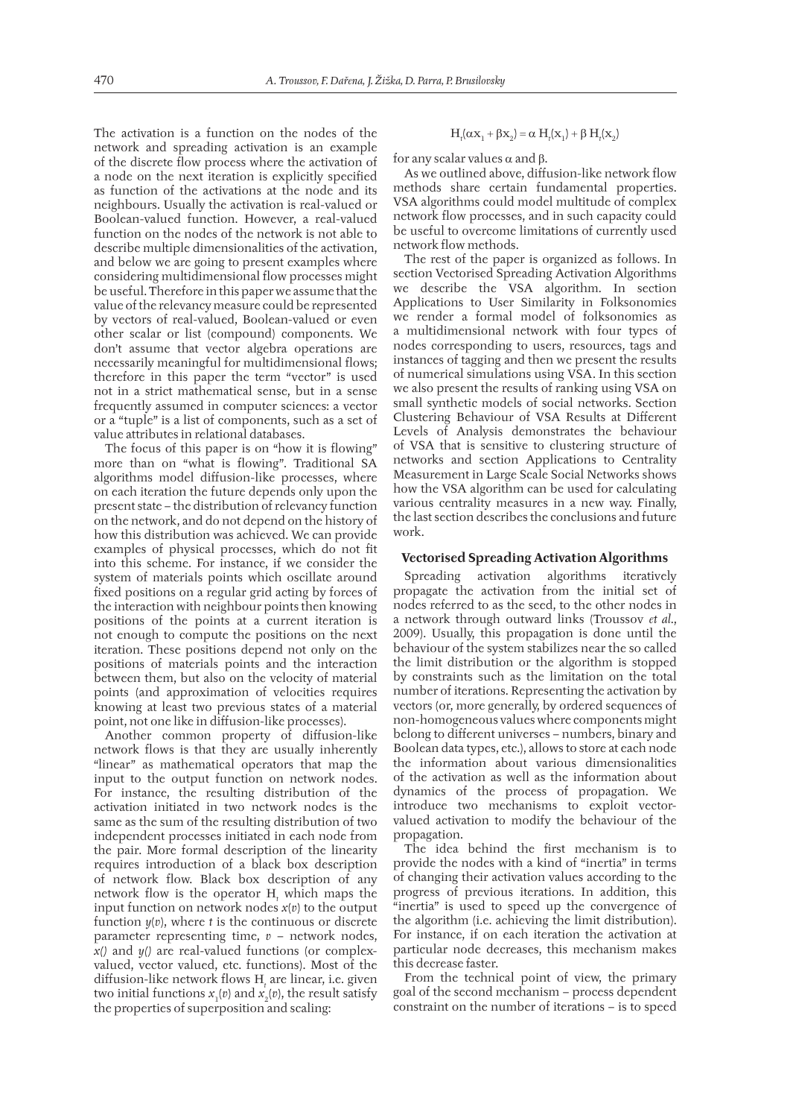The activation is a function on the nodes of the network and spreading activation is an example of the discrete flow process where the activation of a node on the next iteration is explicitly specified as function of the activations at the node and its neighbours. Usually the activation is real-valued or Boolean-valued function. However, a real-valued function on the nodes of the network is not able to describe multiple dimensionalities of the activation, and below we are going to present examples where considering multidimensional flow processes might be useful. Therefore in this paper we assume that the value of the relevancy measure could be represented by vectors of real-valued, Boolean-valued or even other scalar or list (compound) components. We don't assume that vector algebra operations are necessarily meaningful for multidimensional flows; therefore in this paper the term "vector" is used not in a strict mathematical sense, but in a sense frequently assumed in computer sciences: a vector or a "tuple" is a list of components, such as a set of value attributes in relational databases.

The focus of this paper is on "how it is flowing" more than on "what is flowing". Traditional SA algorithms model diffusion-like processes, where on each iteration the future depends only upon the present state – the distribution of relevancy function on the network, and do not depend on the history of how this distribution was achieved. We can provide examples of physical processes, which do not fit into this scheme. For instance, if we consider the system of materials points which oscillate around fixed positions on a regular grid acting by forces of the interaction with neighbour points then knowing positions of the points at a current iteration is not enough to compute the positions on the next iteration. These positions depend not only on the positions of materials points and the interaction between them, but also on the velocity of material points (and approximation of velocities requires knowing at least two previous states of a material point, not one like in diffusion-like processes).

Another common property of diffusion-like network flows is that they are usually inherently "linear" as mathematical operators that map the input to the output function on network nodes. For instance, the resulting distribution of the activation initiated in two network nodes is the same as the sum of the resulting distribution of two independent processes initiated in each node from the pair. More formal description of the linearity requires introduction of a black box description of network flow. Black box description of any network flow is the operator  $H_t$  which maps the input function on network nodes *x*(*v*) to the output function *y*(*v*), where *t* is the continuous or discrete parameter representing time, *v* – network nodes, *x()* and *y()* are real-valued functions (or complexvalued, vector valued, etc. functions). Most of the diffusion-like network flows H<sub>t</sub> are linear, i.e. given two initial functions  $x_1(v)$  and  $x_2(v)$ , the result satisfy the properties of superposition and scaling:

$$
H_t(\alpha x_1 + \beta x_2) = \alpha H_t(x_1) + \beta H_t(x_2)
$$

for any scalar values  $\alpha$  and  $\beta$ .

As we outlined above, diffusion-like network flow methods share certain fundamental properties. VSA algorithms could model multitude of complex network flow processes, and in such capacity could be useful to overcome limitations of currently used network flow methods

The rest of the paper is organized as follows. In section Vectorised Spreading Activation Algorithms we describe the VSA algorithm. In section Applications to User Similarity in Folksonomies we render a formal model of folksonomies as a multidimensional network with four types of nodes corresponding to users, resources, tags and instances of tagging and then we present the results of numerical simulations using VSA. In this section we also present the results of ranking using VSA on small synthetic models of social networks. Section Clustering Behaviour of VSA Results at Different Levels of Analysis demonstrates the behaviour of VSA that is sensitive to clustering structure of networks and section Applications to Centrality Measurement in Large Scale Social Networks shows how the VSA algorithm can be used for calculating various centrality measures in a new way. Finally, the last section describes the conclusions and future work.

#### **Vectorised Spreading Activation Algorithms**

Spreading activation algorithms iteratively propagate the activation from the initial set of nodes referred to as the seed, to the other nodes in a network through outward links (Troussov *et al*., 2009). Usually, this propagation is done until the behaviour of the system stabilizes near the so called the limit distribution or the algorithm is stopped by constraints such as the limitation on the total number of iterations. Representing the activation by vectors (or, more generally, by ordered sequences of non-homogeneous values where components might belong to different universes – numbers, binary and Boolean data types, etc.), allows to store at each node the information about various dimensionalities of the activation as well as the information about dynamics of the process of propagation. We introduce two mechanisms to exploit vectorvalued activation to modify the behaviour of the propagation.

The idea behind the first mechanism is to provide the nodes with a kind of "inertia" in terms of changing their activation values according to the progress of previous iterations. In addition, this "inertia" is used to speed up the convergence of the algorithm (i.e. achieving the limit distribution). For instance, if on each iteration the activation at particular node decreases, this mechanism makes this decrease faster.

From the technical point of view, the primary goal of the second mechanism – process dependent constraint on the number of iterations – is to speed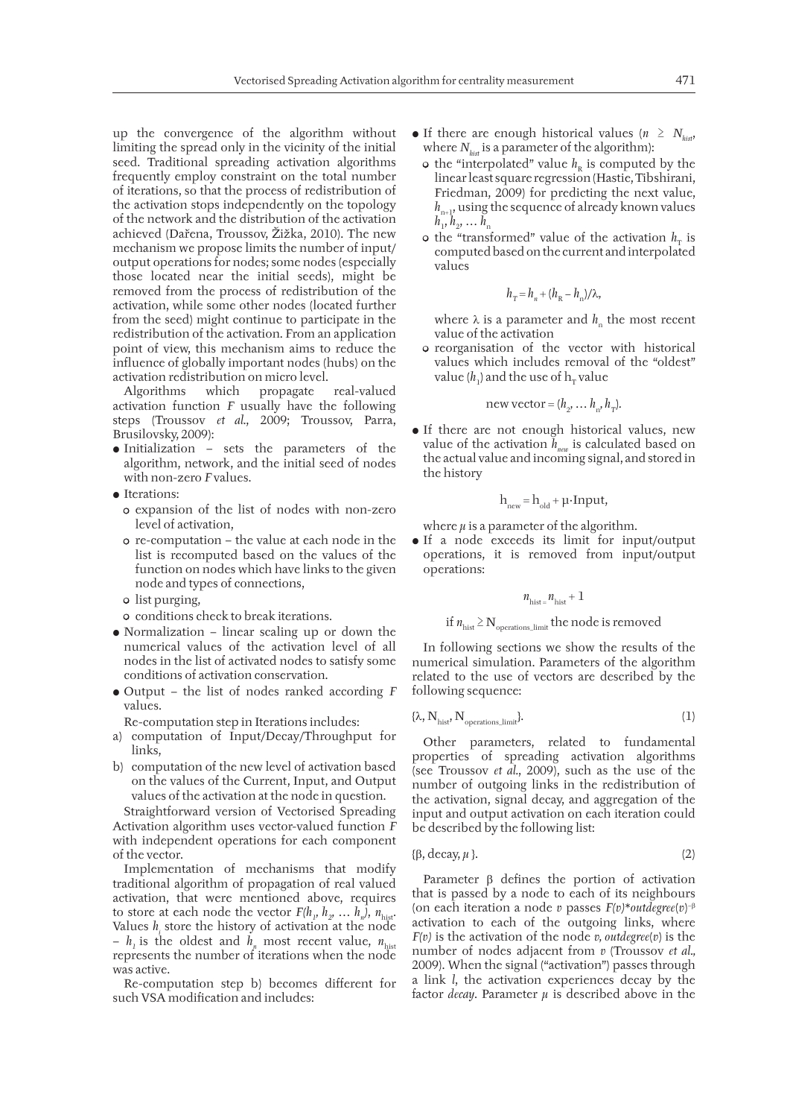up the convergence of the algorithm without limiting the spread only in the vicinity of the initial seed. Traditional spreading activation algorithms frequently employ constraint on the total number of iterations, so that the process of redistribution of the activation stops independently on the topology of the network and the distribution of the activation achieved (Dařena, Troussov, Žižka, 2010). The new mechanism we propose limits the number of input/ output operations for nodes; some nodes (especially those located near the initial seeds), might be removed from the process of redistribution of the activation, while some other nodes (located further from the seed) might continue to participate in the redistribution of the activation. From an application point of view, this mechanism aims to reduce the influence of globally important nodes (hubs) on the activation redistribution on micro level.

Algorithms which propagate real-valued activation function *F* usually have the following steps (Troussov *et al.*, 2009; Troussov, Parra, Brusilovsky, 2009):

- Initialization sets the parameters of the algorithm, network, and the initial seed of nodes with non-zero *F* values.
- Iterations:
	- expansion of the list of nodes with non-zero level of activation,
	- re-computation the value at each node in the list is recomputed based on the values of the function on nodes which have links to the given node and types of connections,
	- list purging,
	- conditions check to break iterations.
- Normalization linear scaling up or down the numerical values of the activation level of all nodes in the list of activated nodes to satisfy some conditions of activation conservation.
- Output the list of nodes ranked according *F* values.

Re-computation step in Iterations includes:

- a) computation of Input/Decay/Throughput for links,
- b) computation of the new level of activation based on the values of the Current, Input, and Output values of the activation at the node in question.

Straightforward version of Vectorised Spreading Activation algorithm uses vector-valued function *F* with independent operations for each component of the vector.

Implementation of mechanisms that modify traditional algorithm of propagation of real valued activation, that were mentioned above, requires to store at each node the vector  $F(h_1, h_2, \ldots, h_n)$ ,  $n_{\text{hist}}$ . Values  $h_i$  store the history of activation at the node  $- h_1$  is the oldest and  $h_n$  most recent value,  $n_{\text{hist}}$ represents the number of iterations when the node was active.

Re-computation step b) becomes different for such VSA modification and includes:

- If there are enough historical values ( $n \geq N_{\text{hist}}$ ) where  $N_{hist}$  is a parameter of the algorithm):
	- $\circ$  the "interpolated" value  $h_{\rm R}$  is computed by the linear least square regression (Hastie, Tibshirani, Friedman, 2009) for predicting the next value,  $h_{n+1}$ , using the sequence of already known values  $h_1, h_2, ... h_n$
	- $\circ$  the "transformed" value of the activation  $h<sub>r</sub>$  is computed based on the current and interpolated values

$$
h_{\rm T} = h_{\rm n} + (h_{\rm R} - h_{\rm n})/\lambda,
$$

where  $\lambda$  is a parameter and  $h_n$  the most recent value of the activation

• reorganisation of the vector with historical values which includes removal of the "oldest" value ( $h_1$ ) and the use of  $h_T$  value

new vector = 
$$
(h_2, \ldots h_n, h_T)
$$
.

• If there are not enough historical values, new value of the activation  $\bar{h}_{\text{non}}$  is calculated based on the actual value and incoming signal, and stored in the history

$$
h_{new} = h_{old} + \mu \cdot Input,
$$

where  $\mu$  is a parameter of the algorithm.

• If a node exceeds its limit for input/output operations, it is removed from input/output operations:

$$
n_{\rm hist} = n_{\rm hist} + 1
$$

if  $n_{\text{hist}} \geq N_{\text{operations limit}}$  the node is removed

In following sections we show the results of the numerical simulation. Parameters of the algorithm related to the use of vectors are described by the following sequence:

$$
\{\lambda, N_{hist}, N_{operations\_limit}\}.
$$
 (1)

Other parameters, related to fundamental properties of spreading activation algorithms (see Troussov *et al.*, 2009), such as the use of the number of outgoing links in the redistribution of the activation, signal decay, and aggregation of the input and output activation on each iteration could be described by the following list:

$$
\{\beta, \text{decay}, \mu\}. \tag{2}
$$

Parameter  $\beta$  defines the portion of activation that is passed by a node to each of its neighbours (on each iteration a node *v* passes *F(v)*\**outdegree*(*v*) − activation to each of the outgoing links, where *F(v)* is the activation of the node *v, outdegree*(*v*) is the number of nodes adjacent from *v* (Troussov *et al.,* 2009). When the signal ("activation") passes through a link *l*, the activation experiences decay by the factor *decay*. Parameter *μ* is described above in the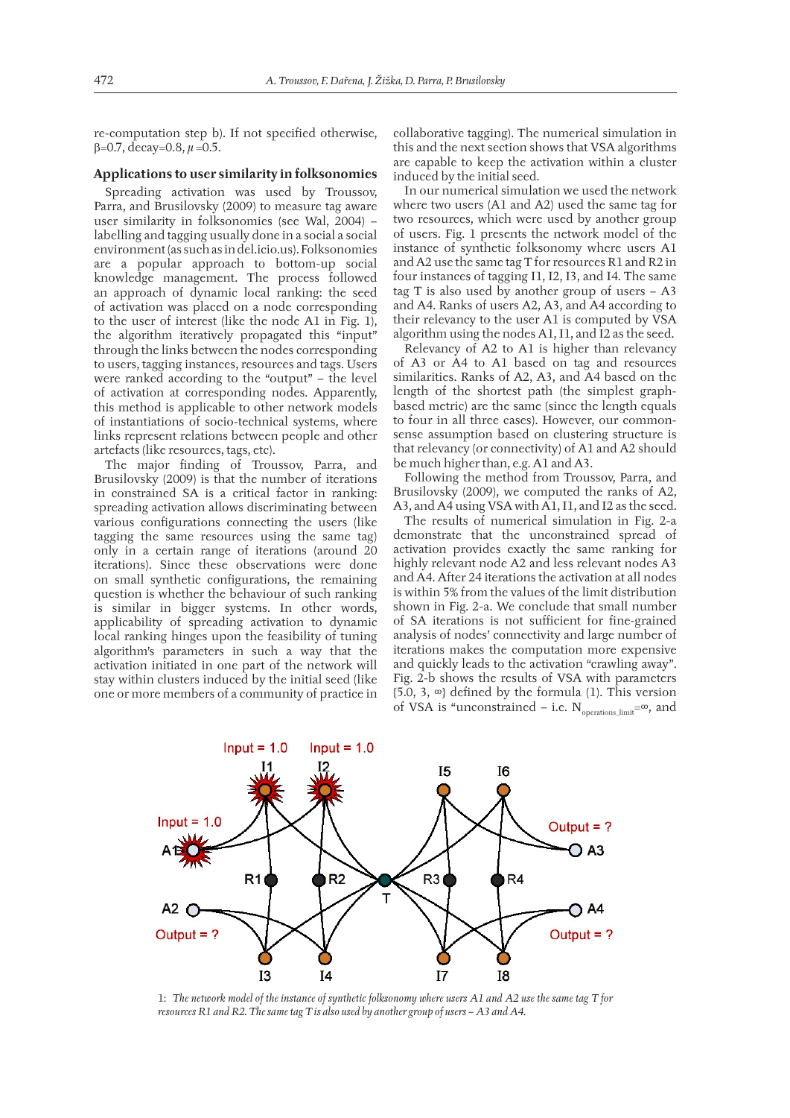re-computation step b). If not specified otherwise, =0.7, decay=0.8, *μ* =0.5.

### **Applications to user similarity in folksonomies**

Spreading activation was used by Troussov, Parra, and Brusilovsky (2009) to measure tag aware user similarity in folksonomies (see Wal, 2004) – labelling and tagging usually done in a social a social environment (as such as in del.icio.us). Folksonomies are a popular approach to bottom-up social knowledge management. The process followed an approach of dynamic local ranking: the seed of activation was placed on a node corresponding to the user of interest (like the node A1 in Fig. 1), the algorithm iteratively propagated this "input" through the links between the nodes corresponding to users, tagging instances, resources and tags. Users were ranked according to the "output" – the level of activation at corresponding nodes. Apparently, this method is applicable to other network models of instantiations of socio-technical systems, where links represent relations between people and other artefacts (like resources, tags, etc).

The major finding of Troussov, Parra, and Brusilovsky (2009) is that the number of iterations in constrained SA is a critical factor in ranking: spreading activation allows discriminating between various configurations connecting the users (like tagging the same resources using the same tag) only in a certain range of iterations (around 20 iterations). Since these observations were done on small synthetic configurations, the remaining question is whether the behaviour of such ranking is similar in bigger systems. In other words, applicability of spreading activation to dynamic local ranking hinges upon the feasibility of tuning algorithm's parameters in such a way that the activation initiated in one part of the network will stay within clusters induced by the initial seed (like one or more members of a community of practice in

collaborative tagging). The numerical simulation in this and the next section shows that VSA algorithms are capable to keep the activation within a cluster induced by the initial seed.

In our numerical simulation we used the network where two users (A1 and A2) used the same tag for two resources, which were used by another group of users. Fig. 1 presents the network model of the instance of synthetic folksonomy where users A1 and A2 use the same tag T for resources R1 and R2 in four instances of tagging I1, I2, I3, and I4. The same tag T is also used by another group of users – A3 and A4. Ranks of users A2, A3, and A4 according to their relevancy to the user A1 is computed by VSA algorithm using the nodes A1, I1, and I2 as the seed.

Relevancy of A2 to A1 is higher than relevancy of A3 or A4 to A1 based on tag and resources similarities. Ranks of A2, A3, and A4 based on the length of the shortest path (the simplest graphbased metric) are the same (since the length equals to four in all three cases). However, our commonsense assumption based on clustering structure is that relevancy (or connectivity) of A1 and A2 should be much higher than, e.g. A1 and A3.

Following the method from Troussov, Parra, and Brusilovsky (2009), we computed the ranks of A2, A3, and A4 using VSA with A1, I1, and I2 as the seed.

The results of numerical simulation in Fig. 2-a demonstrate that the unconstrained spread of activation provides exactly the same ranking for highly relevant node A2 and less relevant nodes A3 and A4. After 24 iterations the activation at all nodes is within 5% from the values of the limit distribution shown in Fig. 2-a. We conclude that small number of SA iterations is not sufficient for fine-grained analysis of nodes' connectivity and large number of iterations makes the computation more expensive and quickly leads to the activation "crawling away". Fig. 2-b shows the results of VSA with parameters {5.0, 3,  $\infty$ } defined by the formula (1). This version of VSA is "unconstrained – i.e.  $N_{\text{operations limit}}=\infty$ , and



1: *The network model of the instance of synthetic folksonomy where users A1 and A2 use the same tag T for resources R1 and R2. The same tag T is also used by another group of users – A3 and A4.*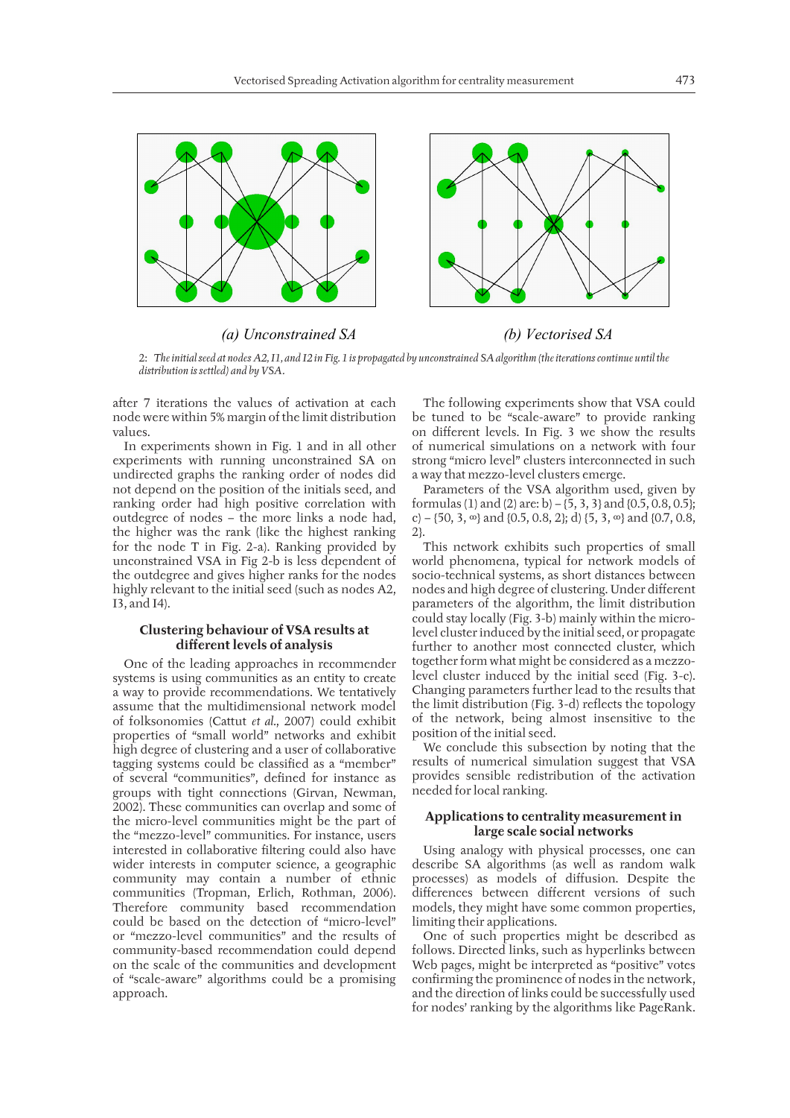

*(a) Unconstrained SA (b) Vectorised SA* 

2: *The initial seed at nodes A2, I1, and I2 in Fig. 1 is propagated by unconstrained SA algorithm (the iterations continue until the distribution is settled) and by VSA.*

after 7 iterations the values of activation at each node were within 5% margin of the limit distribution values.

In experiments shown in Fig. 1 and in all other experiments with running unconstrained SA on undirected graphs the ranking order of nodes did not depend on the position of the initials seed, and ranking order had high positive correlation with outdegree of nodes – the more links a node had, the higher was the rank (like the highest ranking for the node T in Fig. 2-a). Ranking provided by unconstrained VSA in Fig 2-b is less dependent of the outdegree and gives higher ranks for the nodes highly relevant to the initial seed (such as nodes A2, I3, and I4).

### **Clustering behaviour of VSA results at diff erent levels of analysis**

One of the leading approaches in recommender systems is using communities as an entity to create a way to provide recommendations. We tentatively assume that the multidimensional network model of folksonomies (Cattut *et al.*, 2007) could exhibit properties of "small world" networks and exhibit high degree of clustering and a user of collaborative tagging systems could be classified as a "member" of several "communities", defined for instance as groups with tight connections (Girvan, Newman, 2002). These communities can overlap and some of the micro-level communities might be the part of the "mezzo-level" communities. For instance, users interested in collaborative filtering could also have wider interests in computer science, a geographic community may contain a number of ethnic communities (Tropman, Erlich, Rothman, 2006). Therefore community based recommendation could be based on the detection of "micro-level" or "mezzo-level communities" and the results of community-based recommendation could depend on the scale of the communities and development of "scale-aware" algorithms could be a promising approach.

The following experiments show that VSA could be tuned to be "scale-aware" to provide ranking on different levels. In Fig. 3 we show the results of numerical simulations on a network with four strong "micro level" clusters interconnected in such a way that mezzo-level clusters emerge.

Parameters of the VSA algorithm used, given by formulas (1) and (2) are: b) – {5, 3, 3} and {0.5, 0.8, 0.5}; c) – {50, 3, ∞} and {0.5, 0.8, 2}; d} {5, 3, ∞} and {0.7, 0.8, 2}.

This network exhibits such properties of small world phenomena, typical for network models of socio-technical systems, as short distances between nodes and high degree of clustering. Under different parameters of the algorithm, the limit distribution could stay locally (Fig. 3-b) mainly within the microlevel cluster induced by the initial seed, or propagate further to another most connected cluster, which together form what might be considered as a mezzolevel cluster induced by the initial seed (Fig. 3-c). Changing parameters further lead to the results that the limit distribution (Fig. 3-d) reflects the topology of the network, being almost insensitive to the position of the initial seed.

We conclude this subsection by noting that the results of numerical simulation suggest that VSA provides sensible redistribution of the activation needed for local ranking.

#### **Applications to centrality measurement in large scale social networks**

Using analogy with physical processes, one can describe SA algorithms (as well as random walk processes) as models of diffusion. Despite the differences between different versions of such models, they might have some common properties, limiting their applications.

One of such properties might be described as follows. Directed links, such as hyperlinks between Web pages, might be interpreted as "positive" votes confirming the prominence of nodes in the network, and the direction of links could be successfully used for nodes' ranking by the algorithms like PageRank.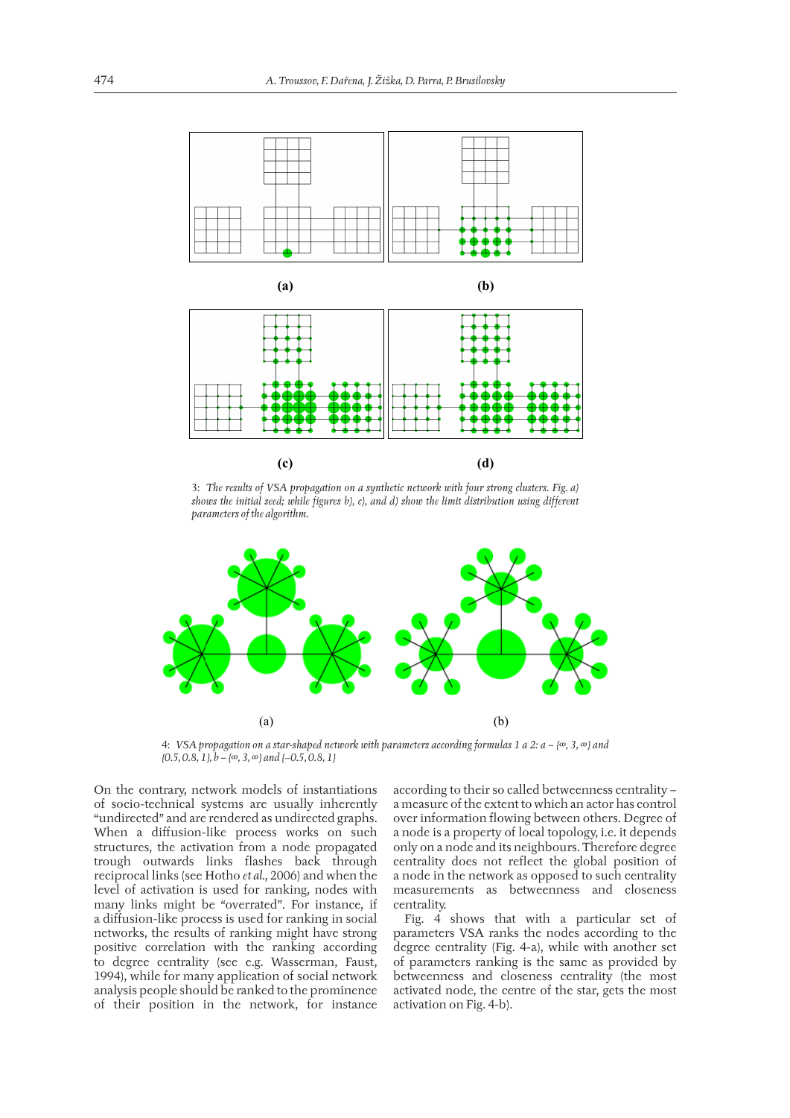

3: *The results of VSA propagation on a synthetic network with four strong clusters. Fig. a) shows the initial seed; while figures b), c), and d) show the limit distribution using different parameters of the algorithm.*



4: *VSA propagation on a star-shaped network with parameters according formulas 1 a 2: a – {∞, 3, ∞} and {0.5, 0.8, 1}, b – {∞, 3, ∞} and {*−*0.5, 0.8, 1}*

On the contrary, network models of instantiations of socio-technical systems are usually inherently "undirected" and are rendered as undirected graphs. When a diffusion-like process works on such structures, the activation from a node propagated trough outwards links flashes back through reciprocal links (see Hotho *et al.*, 2006) and when the level of activation is used for ranking, nodes with many links might be "overrated". For instance, if a diffusion-like process is used for ranking in social networks, the results of ranking might have strong positive correlation with the ranking according to degree centrality (see e.g. Wasserman, Faust, 1994), while for many application of social network analysis people should be ranked to the prominence of their position in the network, for instance

according to their so called betweenness centrality – a measure of the extent to which an actor has control over information flowing between others. Degree of a node is a property of local topology, i.e. it depends only on a node and its neighbours. Therefore degree centrality does not reflect the global position of a node in the network as opposed to such centrality measurements as betweenness and closeness centrality.

Fig. 4 shows that with a particular set of parameters VSA ranks the nodes according to the degree centrality (Fig. 4-a), while with another set of parameters ranking is the same as provided by betweenness and closeness centrality (the most activated node, the centre of the star, gets the most activation on Fig. 4-b).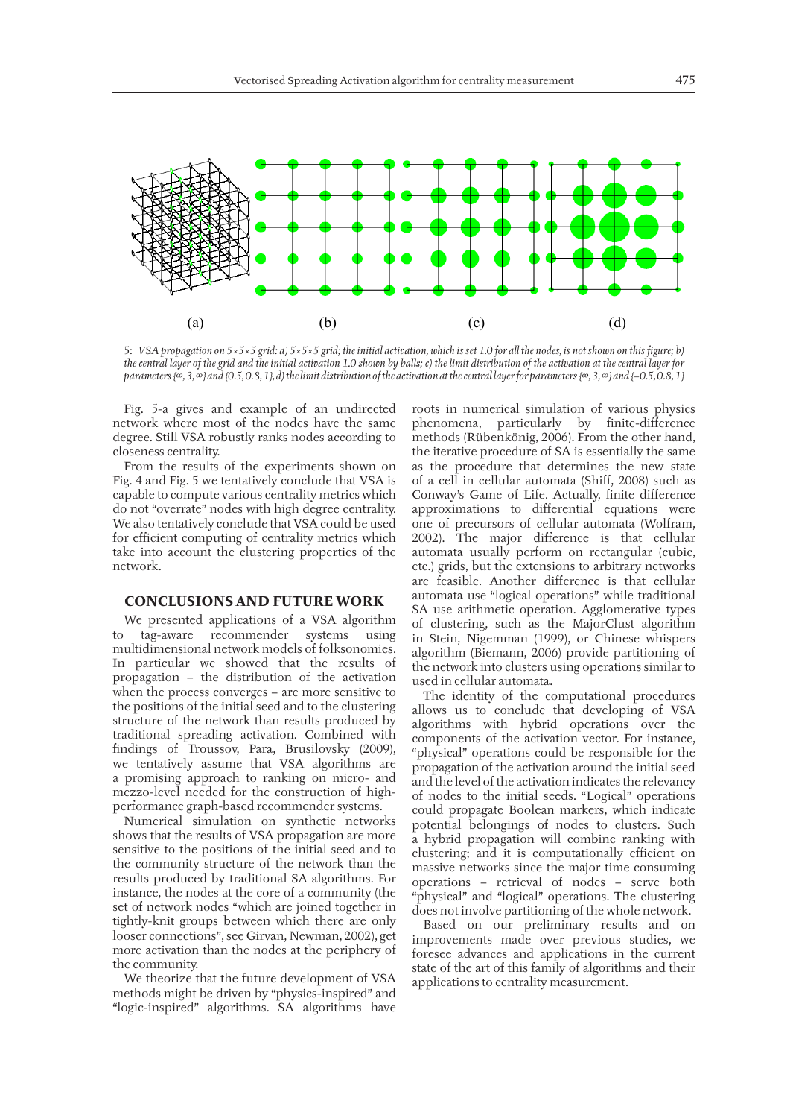

5: *VSA propagation on 5×5×5 grid: a) 5×5×5 grid; the initial activation, which is set 1.0 for all the nodes, is not shown on this figure; b) the central layer of the grid and the initial activation 1.0 shown by balls; c) the limit distribution of the activation at the central layer for parameters {∞, 3, ∞} and {0.5, 0.8, 1}, d) the limit distribution of the activation at the central layer for parameters {∞, 3, ∞} and {−0.5, 0.8, 1}*

Fig. 5-a gives and example of an undirected network where most of the nodes have the same degree. Still VSA robustly ranks nodes according to closeness centrality.

From the results of the experiments shown on Fig. 4 and Fig. 5 we tentatively conclude that VSA is capable to compute various centrality metrics which do not "overrate" nodes with high degree centrality. We also tentatively conclude that VSA could be used for efficient computing of centrality metrics which take into account the clustering properties of the network.

#### **CONCLUSIONS AND FUTURE WORK**

We presented applications of a VSA algorithm to tag-aware recommender systems using multidimensional network models of folksonomies. In particular we showed that the results of propagation – the distribution of the activation when the process converges – are more sensitive to the positions of the initial seed and to the clustering structure of the network than results produced by traditional spreading activation. Combined with findings of Troussov, Para, Brusilovsky (2009), we tentatively assume that VSA algorithms are a promising approach to ranking on micro- and mezzo-level needed for the construction of highperformance graph-based recommender systems.

Numerical simulation on synthetic networks shows that the results of VSA propagation are more sensitive to the positions of the initial seed and to the community structure of the network than the results produced by traditional SA algorithms. For instance, the nodes at the core of a community (the set of network nodes "which are joined together in tightly-knit groups between which there are only looser connections", see Girvan, Newman, 2002), get more activation than the nodes at the periphery of the community.

We theorize that the future development of VSA methods might be driven by "physics-inspired" and "logic-inspired" algorithms. SA algorithms have roots in numerical simulation of various physics phenomena, particularly by finite-difference methods (Rübenkönig, 2006). From the other hand, the iterative procedure of SA is essentially the same as the procedure that determines the new state of a cell in cellular automata (Shiff, 2008) such as Conway's Game of Life. Actually, finite difference approximations to differential equations were one of precursors of cellular automata (Wolfram, 2002). The major difference is that cellular automata usually perform on rectangular (cubic, etc.) grids, but the extensions to arbitrary networks are feasible. Another difference is that cellular automata use "logical operations" while traditional SA use arithmetic operation. Agglomerative types of clustering, such as the MajorClust algorithm in Stein, Nigemman (1999), or Chinese whispers algorithm (Biemann, 2006) provide partitioning of the network into clusters using operations similar to used in cellular automata.

The identity of the computational procedures allows us to conclude that developing of VSA algorithms with hybrid operations over the components of the activation vector. For instance, "physical" operations could be responsible for the propagation of the activation around the initial seed and the level of the activation indicates the relevancy of nodes to the initial seeds. "Logical" operations could propagate Boolean markers, which indicate potential belongings of nodes to clusters. Such a hybrid propagation will combine ranking with clustering; and it is computationally efficient on massive networks since the major time consuming operations – retrieval of nodes – serve both "physical" and "logical" operations. The clustering does not involve partitioning of the whole network.

Based on our preliminary results and on improvements made over previous studies, we foresee advances and applications in the current state of the art of this family of algorithms and their applications to centrality measurement.